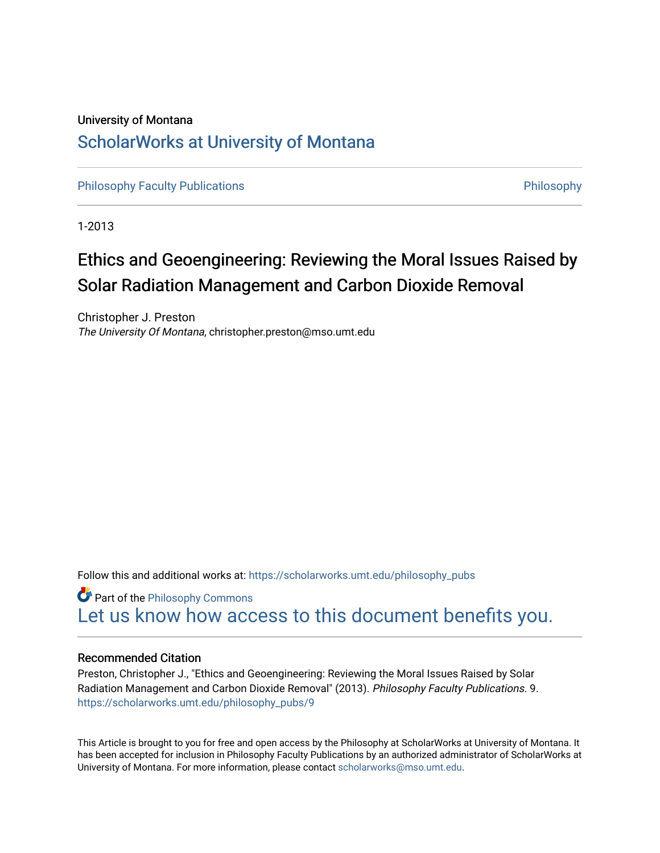# University of Montana [ScholarWorks at University of Montana](https://scholarworks.umt.edu/)

[Philosophy Faculty Publications](https://scholarworks.umt.edu/philosophy_pubs) **[Philosophy](https://scholarworks.umt.edu/philosophy) Faculty Publications Philosophy** 

1-2013

# Ethics and Geoengineering: Reviewing the Moral Issues Raised by Solar Radiation Management and Carbon Dioxide Removal

Christopher J. Preston The University Of Montana, christopher.preston@mso.umt.edu

Follow this and additional works at: [https://scholarworks.umt.edu/philosophy\\_pubs](https://scholarworks.umt.edu/philosophy_pubs?utm_source=scholarworks.umt.edu%2Fphilosophy_pubs%2F9&utm_medium=PDF&utm_campaign=PDFCoverPages)

**Part of the Philosophy Commons** [Let us know how access to this document benefits you.](https://goo.gl/forms/s2rGfXOLzz71qgsB2) 

#### Recommended Citation

Preston, Christopher J., "Ethics and Geoengineering: Reviewing the Moral Issues Raised by Solar Radiation Management and Carbon Dioxide Removal" (2013). Philosophy Faculty Publications. 9. [https://scholarworks.umt.edu/philosophy\\_pubs/9](https://scholarworks.umt.edu/philosophy_pubs/9?utm_source=scholarworks.umt.edu%2Fphilosophy_pubs%2F9&utm_medium=PDF&utm_campaign=PDFCoverPages) 

This Article is brought to you for free and open access by the Philosophy at ScholarWorks at University of Montana. It has been accepted for inclusion in Philosophy Faculty Publications by an authorized administrator of ScholarWorks at University of Montana. For more information, please contact [scholarworks@mso.umt.edu.](mailto:scholarworks@mso.umt.edu)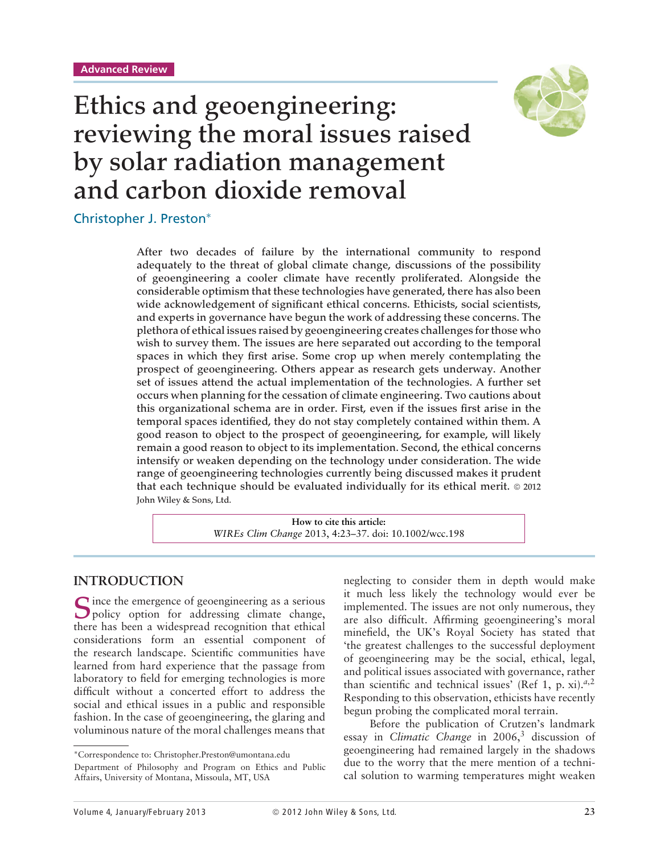

# **Ethics and geoengineering: reviewing the moral issues raised by solar radiation management and carbon dioxide removal**

Christopher J. Preston∗

**After two decades of failure by the international community to respond adequately to the threat of global climate change, discussions of the possibility of geoengineering a cooler climate have recently proliferated. Alongside the considerable optimism that these technologies have generated, there has also been wide acknowledgement of significant ethical concerns. Ethicists, social scientists, and experts in governance have begun the work of addressing these concerns. The plethora of ethical issues raised by geoengineering creates challenges for those who wish to survey them. The issues are here separated out according to the temporal spaces in which they first arise. Some crop up when merely contemplating the prospect of geoengineering. Others appear as research gets underway. Another set of issues attend the actual implementation of the technologies. A further set occurs when planning for the cessation of climate engineering. Two cautions about this organizational schema are in order. First, even if the issues first arise in the temporal spaces identified, they do not stay completely contained within them. A good reason to object to the prospect of geoengineering, for example, will likely remain a good reason to object to its implementation. Second, the ethical concerns intensify or weaken depending on the technology under consideration. The wide range of geoengineering technologies currently being discussed makes it prudent that each technique should be evaluated individually for its ethical merit.** © **2012 John Wiley & Sons, Ltd.**

> **How to cite this article:** *WIREs Clim Change* 2013, 4:23–37. doi: 10.1002/wcc.198

#### **INTRODUCTION**

Since the emergence of geoengineering as a serious<br>policy option for addressing climate change,<br>there has been a wideomeed geographic that othical there has been a widespread recognition that ethical considerations form an essential component of the research landscape. Scientific communities have learned from hard experience that the passage from laboratory to field for emerging technologies is more difficult without a concerted effort to address the social and ethical issues in a public and responsible fashion. In the case of geoengineering, the glaring and voluminous nature of the moral challenges means that

neglecting to consider them in depth would make it much less likely the technology would ever be implemented. The issues are not only numerous, they are also difficult. Affirming geoengineering's moral minefield, the UK's Royal Society has stated that 'the greatest challenges to the successful deployment of geoengineering may be the social, ethical, legal, and political issues associated with governance, rather than scientific and technical issues' (Ref 1, p. xi).<sup> $a$ ,2</sup> Responding to this observation, ethicists have recently begun probing the complicated moral terrain.

Before the publication of Crutzen's landmark essay in *Climatic Change* in 2006,<sup>3</sup> discussion of geoengineering had remained largely in the shadows due to the worry that the mere mention of a technical solution to warming temperatures might weaken

<sup>∗</sup>Correspondence to: Christopher.Preston@umontana.edu

Department of Philosophy and Program on Ethics and Public Affairs, University of Montana, Missoula, MT, USA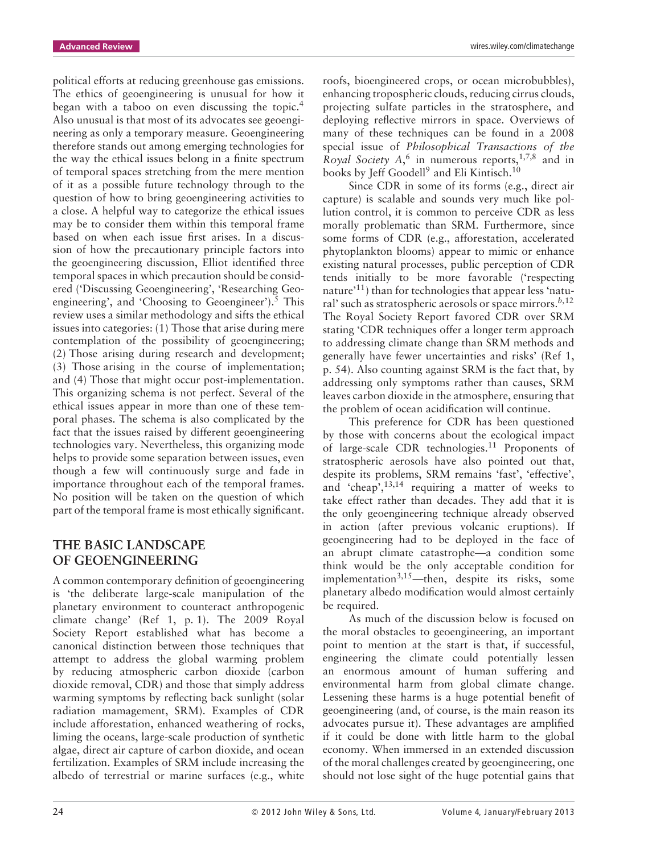political efforts at reducing greenhouse gas emissions. The ethics of geoengineering is unusual for how it began with a taboo on even discussing the topic.4 Also unusual is that most of its advocates see geoengineering as only a temporary measure. Geoengineering therefore stands out among emerging technologies for the way the ethical issues belong in a finite spectrum of temporal spaces stretching from the mere mention of it as a possible future technology through to the question of how to bring geoengineering activities to a close. A helpful way to categorize the ethical issues may be to consider them within this temporal frame based on when each issue first arises. In a discussion of how the precautionary principle factors into the geoengineering discussion, Elliot identified three temporal spaces in which precaution should be considered ('Discussing Geoengineering', 'Researching Geoengineering', and 'Choosing to Geoengineer').<sup>5</sup> This review uses a similar methodology and sifts the ethical issues into categories: (1) Those that arise during mere contemplation of the possibility of geoengineering; (2) Those arising during research and development; (3) Those arising in the course of implementation; and (4) Those that might occur post-implementation. This organizing schema is not perfect. Several of the ethical issues appear in more than one of these temporal phases. The schema is also complicated by the fact that the issues raised by different geoengineering technologies vary. Nevertheless, this organizing mode helps to provide some separation between issues, even though a few will continuously surge and fade in importance throughout each of the temporal frames. No position will be taken on the question of which part of the temporal frame is most ethically significant.

# **THE BASIC LANDSCAPE OF GEOENGINEERING**

A common contemporary definition of geoengineering is 'the deliberate large-scale manipulation of the planetary environment to counteract anthropogenic climate change' (Ref 1, p. 1). The 2009 Royal Society Report established what has become a canonical distinction between those techniques that attempt to address the global warming problem by reducing atmospheric carbon dioxide (carbon dioxide removal, CDR) and those that simply address warming symptoms by reflecting back sunlight (solar radiation mamagement, SRM). Examples of CDR include afforestation, enhanced weathering of rocks, liming the oceans, large-scale production of synthetic algae, direct air capture of carbon dioxide, and ocean fertilization. Examples of SRM include increasing the albedo of terrestrial or marine surfaces (e.g., white roofs, bioengineered crops, or ocean microbubbles), enhancing tropospheric clouds, reducing cirrus clouds, projecting sulfate particles in the stratosphere, and deploying reflective mirrors in space. Overviews of many of these techniques can be found in a 2008 special issue of *Philosophical Transactions of the Royal Society A*,<sup>6</sup> in numerous reports,<sup>1,7,8</sup> and in books by Jeff Goodell<sup>9</sup> and Eli Kintisch.<sup>10</sup>

Since CDR in some of its forms (e.g., direct air capture) is scalable and sounds very much like pollution control, it is common to perceive CDR as less morally problematic than SRM. Furthermore, since some forms of CDR (e.g., afforestation, accelerated phytoplankton blooms) appear to mimic or enhance existing natural processes, public perception of CDR tends initially to be more favorable ('respecting nature<sup> $11$ </sup>) than for technologies that appear less 'natural' such as stratospheric aerosols or space mirrors.*b*,12 The Royal Society Report favored CDR over SRM stating 'CDR techniques offer a longer term approach to addressing climate change than SRM methods and generally have fewer uncertainties and risks' (Ref 1, p. 54). Also counting against SRM is the fact that, by addressing only symptoms rather than causes, SRM leaves carbon dioxide in the atmosphere, ensuring that the problem of ocean acidification will continue.

This preference for CDR has been questioned by those with concerns about the ecological impact of large-scale CDR technologies.<sup>11</sup> Proponents of stratospheric aerosols have also pointed out that, despite its problems, SRM remains 'fast', 'effective', and 'cheap',  $13,14$  requiring a matter of weeks to take effect rather than decades. They add that it is the only geoengineering technique already observed in action (after previous volcanic eruptions). If geoengineering had to be deployed in the face of an abrupt climate catastrophe—a condition some think would be the only acceptable condition for implementation $3,15$ —then, despite its risks, some planetary albedo modification would almost certainly be required.

As much of the discussion below is focused on the moral obstacles to geoengineering, an important point to mention at the start is that, if successful, engineering the climate could potentially lessen an enormous amount of human suffering and environmental harm from global climate change. Lessening these harms is a huge potential benefit of geoengineering (and, of course, is the main reason its advocates pursue it). These advantages are amplified if it could be done with little harm to the global economy. When immersed in an extended discussion of the moral challenges created by geoengineering, one should not lose sight of the huge potential gains that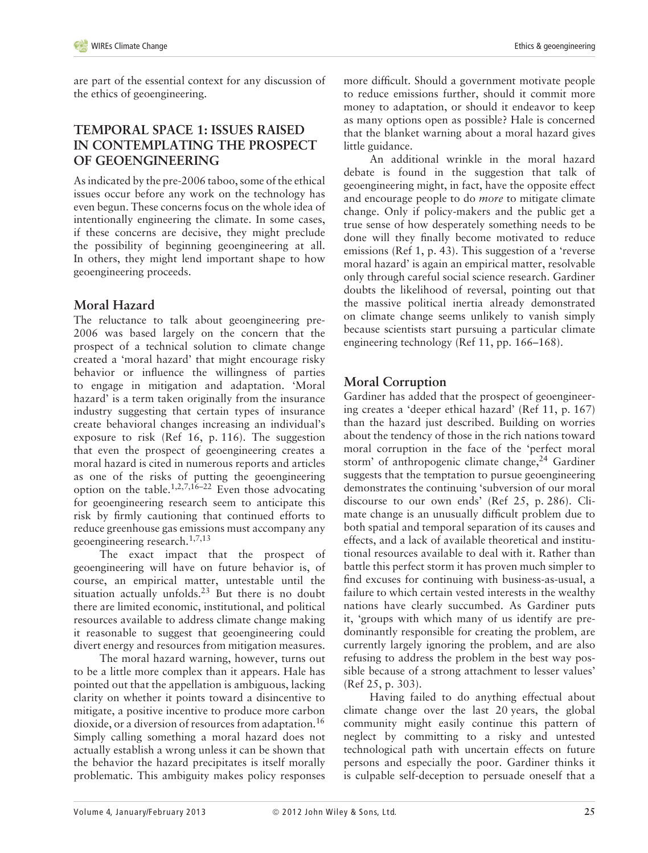are part of the essential context for any discussion of the ethics of geoengineering.

# **TEMPORAL SPACE 1: ISSUES RAISED IN CONTEMPLATING THE PROSPECT OF GEOENGINEERING**

As indicated by the pre-2006 taboo, some of the ethical issues occur before any work on the technology has even begun. These concerns focus on the whole idea of intentionally engineering the climate. In some cases, if these concerns are decisive, they might preclude the possibility of beginning geoengineering at all. In others, they might lend important shape to how geoengineering proceeds.

# **Moral Hazard**

The reluctance to talk about geoengineering pre-2006 was based largely on the concern that the prospect of a technical solution to climate change created a 'moral hazard' that might encourage risky behavior or influence the willingness of parties to engage in mitigation and adaptation. 'Moral hazard' is a term taken originally from the insurance industry suggesting that certain types of insurance create behavioral changes increasing an individual's exposure to risk (Ref 16, p. 116). The suggestion that even the prospect of geoengineering creates a moral hazard is cited in numerous reports and articles as one of the risks of putting the geoengineering option on the table.<sup>1,2,7,16–22</sup> Even those advocating for geoengineering research seem to anticipate this risk by firmly cautioning that continued efforts to reduce greenhouse gas emissions must accompany any geoengineering research.<sup>1,7,13</sup>

The exact impact that the prospect of geoengineering will have on future behavior is, of course, an empirical matter, untestable until the situation actually unfolds. $23$  But there is no doubt there are limited economic, institutional, and political resources available to address climate change making it reasonable to suggest that geoengineering could divert energy and resources from mitigation measures.

The moral hazard warning, however, turns out to be a little more complex than it appears. Hale has pointed out that the appellation is ambiguous, lacking clarity on whether it points toward a disincentive to mitigate, a positive incentive to produce more carbon dioxide, or a diversion of resources from adaptation.<sup>16</sup> Simply calling something a moral hazard does not actually establish a wrong unless it can be shown that the behavior the hazard precipitates is itself morally problematic. This ambiguity makes policy responses more difficult. Should a government motivate people to reduce emissions further, should it commit more money to adaptation, or should it endeavor to keep as many options open as possible? Hale is concerned that the blanket warning about a moral hazard gives little guidance.

An additional wrinkle in the moral hazard debate is found in the suggestion that talk of geoengineering might, in fact, have the opposite effect and encourage people to do *more* to mitigate climate change. Only if policy-makers and the public get a true sense of how desperately something needs to be done will they finally become motivated to reduce emissions (Ref 1, p. 43). This suggestion of a 'reverse moral hazard' is again an empirical matter, resolvable only through careful social science research. Gardiner doubts the likelihood of reversal, pointing out that the massive political inertia already demonstrated on climate change seems unlikely to vanish simply because scientists start pursuing a particular climate engineering technology (Ref 11, pp. 166–168).

# **Moral Corruption**

Gardiner has added that the prospect of geoengineering creates a 'deeper ethical hazard' (Ref 11, p. 167) than the hazard just described. Building on worries about the tendency of those in the rich nations toward moral corruption in the face of the 'perfect moral storm' of anthropogenic climate change,<sup>24</sup> Gardiner suggests that the temptation to pursue geoengineering demonstrates the continuing 'subversion of our moral discourse to our own ends' (Ref 25, p. 286). Climate change is an unusually difficult problem due to both spatial and temporal separation of its causes and effects, and a lack of available theoretical and institutional resources available to deal with it. Rather than battle this perfect storm it has proven much simpler to find excuses for continuing with business-as-usual, a failure to which certain vested interests in the wealthy nations have clearly succumbed. As Gardiner puts it, 'groups with which many of us identify are predominantly responsible for creating the problem, are currently largely ignoring the problem, and are also refusing to address the problem in the best way possible because of a strong attachment to lesser values' (Ref 25, p. 303).

Having failed to do anything effectual about climate change over the last 20 years, the global community might easily continue this pattern of neglect by committing to a risky and untested technological path with uncertain effects on future persons and especially the poor. Gardiner thinks it is culpable self-deception to persuade oneself that a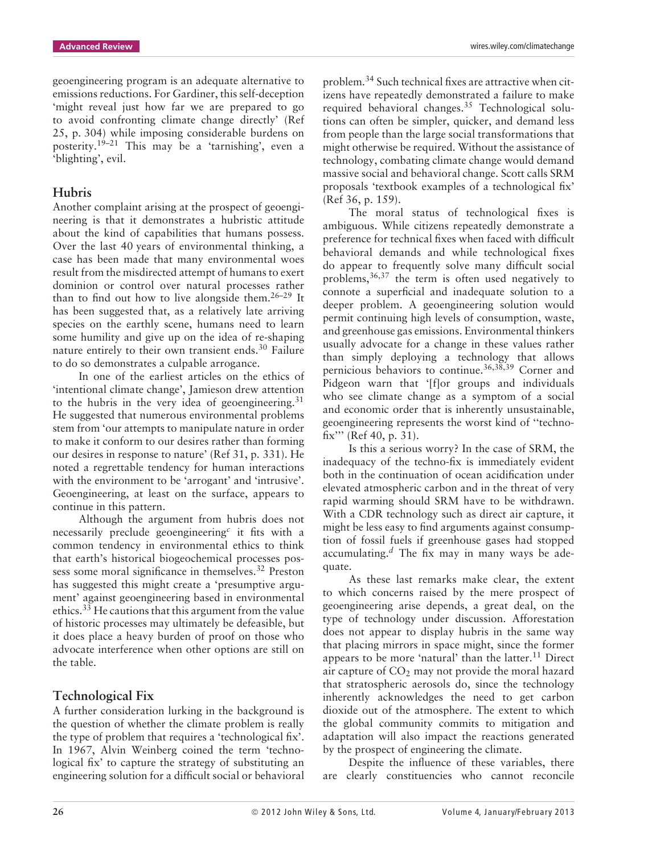geoengineering program is an adequate alternative to emissions reductions. For Gardiner, this self-deception 'might reveal just how far we are prepared to go to avoid confronting climate change directly' (Ref 25, p. 304) while imposing considerable burdens on posterity.19–21 This may be a 'tarnishing', even a 'blighting', evil.

## **Hubris**

Another complaint arising at the prospect of geoengineering is that it demonstrates a hubristic attitude about the kind of capabilities that humans possess. Over the last 40 years of environmental thinking, a case has been made that many environmental woes result from the misdirected attempt of humans to exert dominion or control over natural processes rather than to find out how to live alongside them.<sup>26–29</sup> It has been suggested that, as a relatively late arriving species on the earthly scene, humans need to learn some humility and give up on the idea of re-shaping nature entirely to their own transient ends.<sup>30</sup> Failure to do so demonstrates a culpable arrogance.

In one of the earliest articles on the ethics of 'intentional climate change', Jamieson drew attention to the hubris in the very idea of geoengineering.<sup>31</sup> He suggested that numerous environmental problems stem from 'our attempts to manipulate nature in order to make it conform to our desires rather than forming our desires in response to nature' (Ref 31, p. 331). He noted a regrettable tendency for human interactions with the environment to be 'arrogant' and 'intrusive'. Geoengineering, at least on the surface, appears to continue in this pattern.

Although the argument from hubris does not necessarily preclude geoengineering*<sup>c</sup>* it fits with a common tendency in environmental ethics to think that earth's historical biogeochemical processes possess some moral significance in themselves.<sup>32</sup> Preston has suggested this might create a 'presumptive argument' against geoengineering based in environmental ethics.<sup>33</sup> He cautions that this argument from the value of historic processes may ultimately be defeasible, but it does place a heavy burden of proof on those who advocate interference when other options are still on the table.

# **Technological Fix**

A further consideration lurking in the background is the question of whether the climate problem is really the type of problem that requires a 'technological fix'. In 1967, Alvin Weinberg coined the term 'technological fix' to capture the strategy of substituting an engineering solution for a difficult social or behavioral

problem.34 Such technical fixes are attractive when citizens have repeatedly demonstrated a failure to make required behavioral changes.35 Technological solutions can often be simpler, quicker, and demand less from people than the large social transformations that might otherwise be required. Without the assistance of technology, combating climate change would demand massive social and behavioral change. Scott calls SRM proposals 'textbook examples of a technological fix' (Ref 36, p. 159).

The moral status of technological fixes is ambiguous. While citizens repeatedly demonstrate a preference for technical fixes when faced with difficult behavioral demands and while technological fixes do appear to frequently solve many difficult social problems,36,37 the term is often used negatively to connote a superficial and inadequate solution to a deeper problem. A geoengineering solution would permit continuing high levels of consumption, waste, and greenhouse gas emissions. Environmental thinkers usually advocate for a change in these values rather than simply deploying a technology that allows pernicious behaviors to continue.36,38,39 Corner and Pidgeon warn that '[f]or groups and individuals who see climate change as a symptom of a social and economic order that is inherently unsustainable, geoengineering represents the worst kind of ''technofix''' (Ref 40, p. 31).

Is this a serious worry? In the case of SRM, the inadequacy of the techno-fix is immediately evident both in the continuation of ocean acidification under elevated atmospheric carbon and in the threat of very rapid warming should SRM have to be withdrawn. With a CDR technology such as direct air capture, it might be less easy to find arguments against consumption of fossil fuels if greenhouse gases had stopped accumulating.*<sup>d</sup>* The fix may in many ways be adequate.

As these last remarks make clear, the extent to which concerns raised by the mere prospect of geoengineering arise depends, a great deal, on the type of technology under discussion. Afforestation does not appear to display hubris in the same way that placing mirrors in space might, since the former appears to be more 'natural' than the latter.<sup>11</sup> Direct air capture of  $CO<sub>2</sub>$  may not provide the moral hazard that stratospheric aerosols do, since the technology inherently acknowledges the need to get carbon dioxide out of the atmosphere. The extent to which the global community commits to mitigation and adaptation will also impact the reactions generated by the prospect of engineering the climate.

Despite the influence of these variables, there are clearly constituencies who cannot reconcile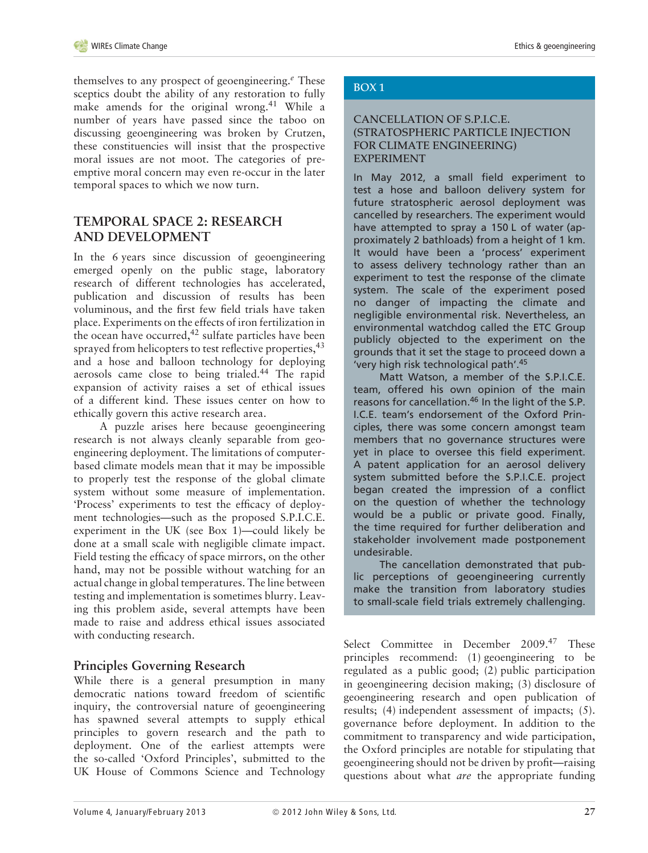themselves to any prospect of geoengineering.*<sup>e</sup>* These sceptics doubt the ability of any restoration to fully make amends for the original wrong.<sup>41</sup> While a number of years have passed since the taboo on discussing geoengineering was broken by Crutzen, these constituencies will insist that the prospective moral issues are not moot. The categories of preemptive moral concern may even re-occur in the later temporal spaces to which we now turn.

#### **TEMPORAL SPACE 2: RESEARCH AND DEVELOPMENT**

In the 6 years since discussion of geoengineering emerged openly on the public stage, laboratory research of different technologies has accelerated, publication and discussion of results has been voluminous, and the first few field trials have taken place. Experiments on the effects of iron fertilization in the ocean have occurred, $42$  sulfate particles have been sprayed from helicopters to test reflective properties,<sup>43</sup> and a hose and balloon technology for deploying aerosols came close to being trialed.<sup>44</sup> The rapid expansion of activity raises a set of ethical issues of a different kind. These issues center on how to ethically govern this active research area.

A puzzle arises here because geoengineering research is not always cleanly separable from geoengineering deployment. The limitations of computerbased climate models mean that it may be impossible to properly test the response of the global climate system without some measure of implementation. 'Process' experiments to test the efficacy of deployment technologies—such as the proposed S.P.I.C.E. experiment in the UK (see Box 1)—could likely be done at a small scale with negligible climate impact. Field testing the efficacy of space mirrors, on the other hand, may not be possible without watching for an actual change in global temperatures. The line between testing and implementation is sometimes blurry. Leaving this problem aside, several attempts have been made to raise and address ethical issues associated with conducting research.

#### **Principles Governing Research**

While there is a general presumption in many democratic nations toward freedom of scientific inquiry, the controversial nature of geoengineering has spawned several attempts to supply ethical principles to govern research and the path to deployment. One of the earliest attempts were the so-called 'Oxford Principles', submitted to the UK House of Commons Science and Technology

#### **BOX 1**

#### **CANCELLATION OF S.P.I.C.E. (STRATOSPHERIC PARTICLE INJECTION FOR CLIMATE ENGINEERING) EXPERIMENT**

In May 2012, a small field experiment to test a hose and balloon delivery system for future stratospheric aerosol deployment was cancelled by researchers. The experiment would have attempted to spray a 150 L of water (approximately 2 bathloads) from a height of 1 km. It would have been a 'process' experiment to assess delivery technology rather than an experiment to test the response of the climate system. The scale of the experiment posed no danger of impacting the climate and negligible environmental risk. Nevertheless, an environmental watchdog called the ETC Group publicly objected to the experiment on the grounds that it set the stage to proceed down a 'very high risk technological path'.45

Matt Watson, a member of the S.P.I.C.E. team, offered his own opinion of the main reasons for cancellation.<sup>46</sup> In the light of the S.P. I.C.E. team's endorsement of the Oxford Principles, there was some concern amongst team members that no governance structures were yet in place to oversee this field experiment. A patent application for an aerosol delivery system submitted before the S.P.I.C.E. project began created the impression of a conflict on the question of whether the technology would be a public or private good. Finally, the time required for further deliberation and stakeholder involvement made postponement undesirable.

The cancellation demonstrated that public perceptions of geoengineering currently make the transition from laboratory studies to small-scale field trials extremely challenging.

Select Committee in December 2009.<sup>47</sup> These principles recommend: (1) geoengineering to be regulated as a public good; (2) public participation in geoengineering decision making; (3) disclosure of geoengineering research and open publication of results; (4) independent assessment of impacts; (5). governance before deployment. In addition to the commitment to transparency and wide participation, the Oxford principles are notable for stipulating that geoengineering should not be driven by profit—raising questions about what *are* the appropriate funding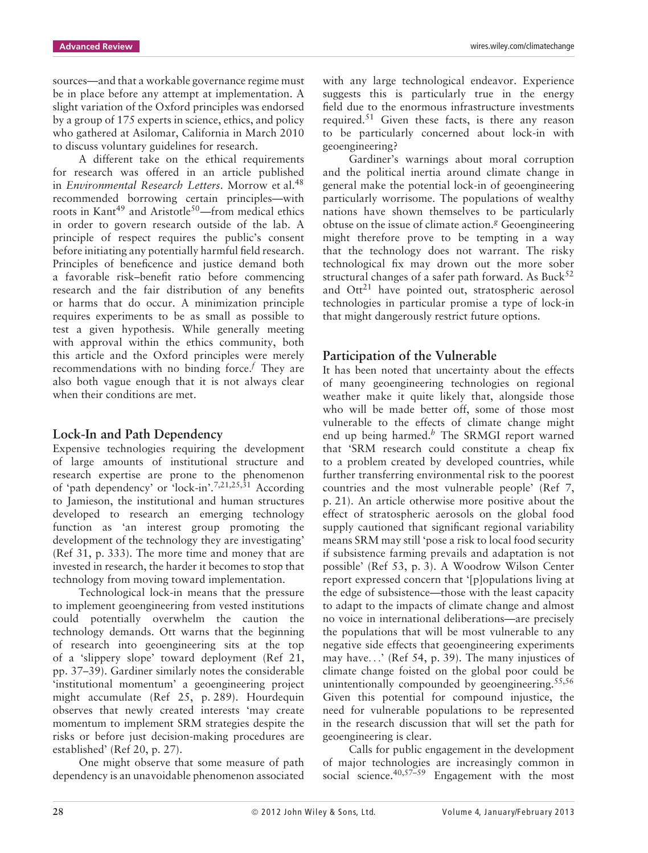sources—and that a workable governance regime must be in place before any attempt at implementation. A slight variation of the Oxford principles was endorsed by a group of 175 experts in science, ethics, and policy who gathered at Asilomar, California in March 2010 to discuss voluntary guidelines for research.

A different take on the ethical requirements for research was offered in an article published in *Environmental Research Letters*. Morrow et al.48 recommended borrowing certain principles—with roots in Kant<sup>49</sup> and Aristotle<sup>50</sup>—from medical ethics in order to govern research outside of the lab. A principle of respect requires the public's consent before initiating any potentially harmful field research. Principles of beneficence and justice demand both a favorable risk–benefit ratio before commencing research and the fair distribution of any benefits or harms that do occur. A minimization principle requires experiments to be as small as possible to test a given hypothesis. While generally meeting with approval within the ethics community, both this article and the Oxford principles were merely recommendations with no binding force.*<sup>f</sup>* They are also both vague enough that it is not always clear when their conditions are met.

#### **Lock-In and Path Dependency**

Expensive technologies requiring the development of large amounts of institutional structure and research expertise are prone to the phenomenon of 'path dependency' or 'lock-in'.7,21,25,31 According to Jamieson, the institutional and human structures developed to research an emerging technology function as 'an interest group promoting the development of the technology they are investigating' (Ref 31, p. 333). The more time and money that are invested in research, the harder it becomes to stop that technology from moving toward implementation.

Technological lock-in means that the pressure to implement geoengineering from vested institutions could potentially overwhelm the caution the technology demands. Ott warns that the beginning of research into geoengineering sits at the top of a 'slippery slope' toward deployment (Ref 21, pp. 37–39). Gardiner similarly notes the considerable 'institutional momentum' a geoengineering project might accumulate (Ref 25, p. 289). Hourdequin observes that newly created interests 'may create momentum to implement SRM strategies despite the risks or before just decision-making procedures are established' (Ref 20, p. 27).

One might observe that some measure of path dependency is an unavoidable phenomenon associated with any large technological endeavor. Experience suggests this is particularly true in the energy field due to the enormous infrastructure investments required.<sup>51</sup> Given these facts, is there any reason to be particularly concerned about lock-in with geoengineering?

Gardiner's warnings about moral corruption and the political inertia around climate change in general make the potential lock-in of geoengineering particularly worrisome. The populations of wealthy nations have shown themselves to be particularly obtuse on the issue of climate action.*<sup>g</sup>* Geoengineering might therefore prove to be tempting in a way that the technology does not warrant. The risky technological fix may drown out the more sober structural changes of a safer path forward. As Buck $52$ and  $Ott^{21}$  have pointed out, stratospheric aerosol technologies in particular promise a type of lock-in that might dangerously restrict future options.

# **Participation of the Vulnerable**

It has been noted that uncertainty about the effects of many geoengineering technologies on regional weather make it quite likely that, alongside those who will be made better off, some of those most vulnerable to the effects of climate change might end up being harmed.*<sup>h</sup>* The SRMGI report warned that 'SRM research could constitute a cheap fix to a problem created by developed countries, while further transferring environmental risk to the poorest countries and the most vulnerable people' (Ref 7, p. 21). An article otherwise more positive about the effect of stratospheric aerosols on the global food supply cautioned that significant regional variability means SRM may still 'pose a risk to local food security if subsistence farming prevails and adaptation is not possible' (Ref 53, p. 3). A Woodrow Wilson Center report expressed concern that '[p]opulations living at the edge of subsistence—those with the least capacity to adapt to the impacts of climate change and almost no voice in international deliberations—are precisely the populations that will be most vulnerable to any negative side effects that geoengineering experiments may have*...*' (Ref 54, p. 39). The many injustices of climate change foisted on the global poor could be unintentionally compounded by geoengineering.<sup>55,56</sup> Given this potential for compound injustice, the need for vulnerable populations to be represented in the research discussion that will set the path for geoengineering is clear.

Calls for public engagement in the development of major technologies are increasingly common in social science. $40,57-59$  Engagement with the most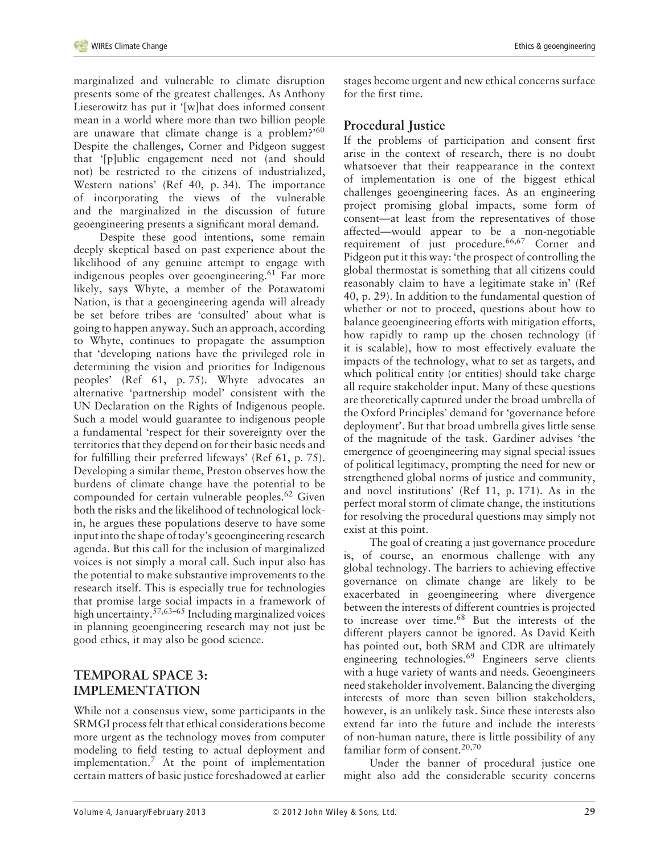marginalized and vulnerable to climate disruption presents some of the greatest challenges. As Anthony Lieserowitz has put it '[w]hat does informed consent mean in a world where more than two billion people are unaware that climate change is a problem?'60 Despite the challenges, Corner and Pidgeon suggest that '[p]ublic engagement need not (and should not) be restricted to the citizens of industrialized, Western nations' (Ref 40, p. 34). The importance of incorporating the views of the vulnerable and the marginalized in the discussion of future geoengineering presents a significant moral demand.

Despite these good intentions, some remain deeply skeptical based on past experience about the likelihood of any genuine attempt to engage with indigenous peoples over geoengineering.<sup>61</sup> Far more likely, says Whyte, a member of the Potawatomi Nation, is that a geoengineering agenda will already be set before tribes are 'consulted' about what is going to happen anyway. Such an approach, according to Whyte, continues to propagate the assumption that 'developing nations have the privileged role in determining the vision and priorities for Indigenous peoples' (Ref 61, p. 75). Whyte advocates an alternative 'partnership model' consistent with the UN Declaration on the Rights of Indigenous people. Such a model would guarantee to indigenous people a fundamental 'respect for their sovereignty over the territories that they depend on for their basic needs and for fulfilling their preferred lifeways' (Ref 61, p. 75). Developing a similar theme, Preston observes how the burdens of climate change have the potential to be compounded for certain vulnerable peoples.<sup>62</sup> Given both the risks and the likelihood of technological lockin, he argues these populations deserve to have some input into the shape of today's geoengineering research agenda. But this call for the inclusion of marginalized voices is not simply a moral call. Such input also has the potential to make substantive improvements to the research itself. This is especially true for technologies that promise large social impacts in a framework of high uncertainty.<sup>57,63–65</sup> Including marginalized voices in planning geoengineering research may not just be good ethics, it may also be good science.

# **TEMPORAL SPACE 3: IMPLEMENTATION**

While not a consensus view, some participants in the SRMGI process felt that ethical considerations become more urgent as the technology moves from computer modeling to field testing to actual deployment and implementation.<sup>7</sup> At the point of implementation certain matters of basic justice foreshadowed at earlier stages become urgent and new ethical concerns surface for the first time.

# **Procedural Justice**

If the problems of participation and consent first arise in the context of research, there is no doubt whatsoever that their reappearance in the context of implementation is one of the biggest ethical challenges geoengineering faces. As an engineering project promising global impacts, some form of consent—at least from the representatives of those affected—would appear to be a non-negotiable requirement of just procedure.<sup>66,67</sup> Corner and Pidgeon put it this way: 'the prospect of controlling the global thermostat is something that all citizens could reasonably claim to have a legitimate stake in' (Ref 40, p. 29). In addition to the fundamental question of whether or not to proceed, questions about how to balance geoengineering efforts with mitigation efforts, how rapidly to ramp up the chosen technology (if it is scalable), how to most effectively evaluate the impacts of the technology, what to set as targets, and which political entity (or entities) should take charge all require stakeholder input. Many of these questions are theoretically captured under the broad umbrella of the Oxford Principles' demand for 'governance before deployment'. But that broad umbrella gives little sense of the magnitude of the task. Gardiner advises 'the emergence of geoengineering may signal special issues of political legitimacy, prompting the need for new or strengthened global norms of justice and community, and novel institutions' (Ref 11, p. 171). As in the perfect moral storm of climate change, the institutions for resolving the procedural questions may simply not exist at this point.

The goal of creating a just governance procedure is, of course, an enormous challenge with any global technology. The barriers to achieving effective governance on climate change are likely to be exacerbated in geoengineering where divergence between the interests of different countries is projected to increase over time.68 But the interests of the different players cannot be ignored. As David Keith has pointed out, both SRM and CDR are ultimately engineering technologies.<sup>69</sup> Engineers serve clients with a huge variety of wants and needs. Geoengineers need stakeholder involvement. Balancing the diverging interests of more than seven billion stakeholders, however, is an unlikely task. Since these interests also extend far into the future and include the interests of non-human nature, there is little possibility of any familiar form of consent.<sup>20,70</sup>

Under the banner of procedural justice one might also add the considerable security concerns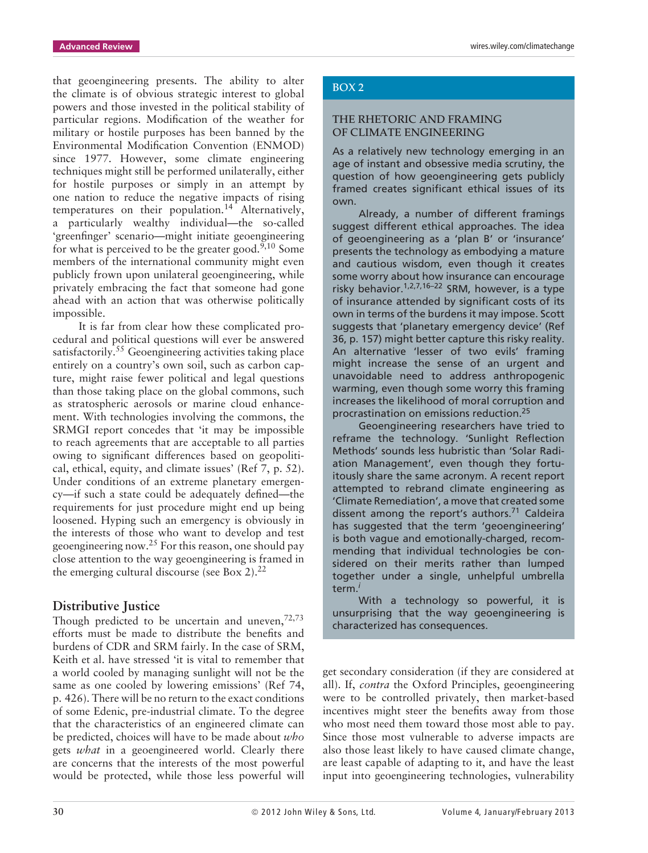that geoengineering presents. The ability to alter the climate is of obvious strategic interest to global powers and those invested in the political stability of particular regions. Modification of the weather for military or hostile purposes has been banned by the Environmental Modification Convention (ENMOD) since 1977. However, some climate engineering techniques might still be performed unilaterally, either for hostile purposes or simply in an attempt by one nation to reduce the negative impacts of rising temperatures on their population.<sup>14</sup> Alternatively, a particularly wealthy individual—the so-called 'greenfinger' scenario—might initiate geoengineering for what is perceived to be the greater good.<sup>9,10</sup> Some members of the international community might even publicly frown upon unilateral geoengineering, while privately embracing the fact that someone had gone ahead with an action that was otherwise politically impossible.

It is far from clear how these complicated procedural and political questions will ever be answered satisfactorily.<sup>55</sup> Geoengineering activities taking place entirely on a country's own soil, such as carbon capture, might raise fewer political and legal questions than those taking place on the global commons, such as stratospheric aerosols or marine cloud enhancement. With technologies involving the commons, the SRMGI report concedes that 'it may be impossible to reach agreements that are acceptable to all parties owing to significant differences based on geopolitical, ethical, equity, and climate issues' (Ref 7, p. 52). Under conditions of an extreme planetary emergency—if such a state could be adequately defined—the requirements for just procedure might end up being loosened. Hyping such an emergency is obviously in the interests of those who want to develop and test geoengineering now.<sup>25</sup> For this reason, one should pay close attention to the way geoengineering is framed in the emerging cultural discourse (see Box 2). $^{22}$ 

#### **Distributive Justice**

Though predicted to be uncertain and uneven,  $72,73$ efforts must be made to distribute the benefits and burdens of CDR and SRM fairly. In the case of SRM, Keith et al. have stressed 'it is vital to remember that a world cooled by managing sunlight will not be the same as one cooled by lowering emissions' (Ref 74, p. 426). There will be no return to the exact conditions of some Edenic, pre-industrial climate. To the degree that the characteristics of an engineered climate can be predicted, choices will have to be made about *who* gets *what* in a geoengineered world. Clearly there are concerns that the interests of the most powerful would be protected, while those less powerful will

# **BOX 2**

#### **THE RHETORIC AND FRAMING OF CLIMATE ENGINEERING**

As a relatively new technology emerging in an age of instant and obsessive media scrutiny, the question of how geoengineering gets publicly framed creates significant ethical issues of its own.

Already, a number of different framings suggest different ethical approaches. The idea of geoengineering as a 'plan B' or 'insurance' presents the technology as embodying a mature and cautious wisdom, even though it creates some worry about how insurance can encourage risky behavior.<sup>1,2,7,16–22</sup> SRM, however, is a type of insurance attended by significant costs of its own in terms of the burdens it may impose. Scott suggests that 'planetary emergency device' (Ref 36, p. 157) might better capture this risky reality. An alternative 'lesser of two evils' framing might increase the sense of an urgent and unavoidable need to address anthropogenic warming, even though some worry this framing increases the likelihood of moral corruption and procrastination on emissions reduction.25

Geoengineering researchers have tried to reframe the technology. 'Sunlight Reflection Methods' sounds less hubristic than 'Solar Radiation Management', even though they fortuitously share the same acronym. A recent report attempted to rebrand climate engineering as 'Climate Remediation', a move that created some dissent among the report's authors.71 Caldeira has suggested that the term 'geoengineering' is both vague and emotionally-charged, recommending that individual technologies be considered on their merits rather than lumped together under a single, unhelpful umbrella term.*<sup>i</sup>*

With a technology so powerful, it is unsurprising that the way geoengineering is characterized has consequences.

get secondary consideration (if they are considered at all). If, *contra* the Oxford Principles, geoengineering were to be controlled privately, then market-based incentives might steer the benefits away from those who most need them toward those most able to pay. Since those most vulnerable to adverse impacts are also those least likely to have caused climate change, are least capable of adapting to it, and have the least input into geoengineering technologies, vulnerability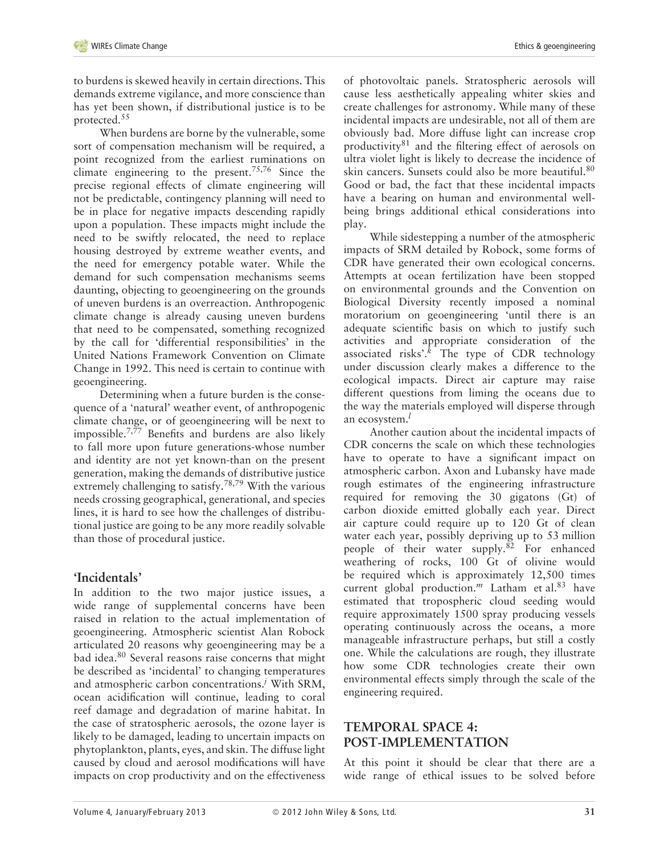to burdens is skewed heavily in certain directions. This demands extreme vigilance, and more conscience than has yet been shown, if distributional justice is to be protected.<sup>55</sup>

When burdens are borne by the vulnerable, some sort of compensation mechanism will be required, a point recognized from the earliest ruminations on climate engineering to the present.<sup>75,76</sup> Since the precise regional effects of climate engineering will not be predictable, contingency planning will need to be in place for negative impacts descending rapidly upon a population. These impacts might include the need to be swiftly relocated, the need to replace housing destroyed by extreme weather events, and the need for emergency potable water. While the demand for such compensation mechanisms seems daunting, objecting to geoengineering on the grounds of uneven burdens is an overreaction. Anthropogenic climate change is already causing uneven burdens that need to be compensated, something recognized by the call for 'differential responsibilities' in the United Nations Framework Convention on Climate Change in 1992. This need is certain to continue with geoengineering.

Determining when a future burden is the consequence of a 'natural' weather event, of anthropogenic climate change, or of geoengineering will be next to impossible.7,77 Benefits and burdens are also likely to fall more upon future generations-whose number and identity are not yet known-than on the present generation, making the demands of distributive justice extremely challenging to satisfy.78,79 With the various needs crossing geographical, generational, and species lines, it is hard to see how the challenges of distributional justice are going to be any more readily solvable than those of procedural justice.

#### **'Incidentals'**

In addition to the two major justice issues, a wide range of supplemental concerns have been raised in relation to the actual implementation of geoengineering. Atmospheric scientist Alan Robock articulated 20 reasons why geoengineering may be a bad idea.<sup>80</sup> Several reasons raise concerns that might be described as 'incidental' to changing temperatures and atmospheric carbon concentrations.*<sup>j</sup>* With SRM, ocean acidification will continue, leading to coral reef damage and degradation of marine habitat. In the case of stratospheric aerosols, the ozone layer is likely to be damaged, leading to uncertain impacts on phytoplankton, plants, eyes, and skin. The diffuse light caused by cloud and aerosol modifications will have impacts on crop productivity and on the effectiveness of photovoltaic panels. Stratospheric aerosols will cause less aesthetically appealing whiter skies and create challenges for astronomy. While many of these incidental impacts are undesirable, not all of them are obviously bad. More diffuse light can increase crop productivity $81$  and the filtering effect of aerosols on ultra violet light is likely to decrease the incidence of skin cancers. Sunsets could also be more beautiful.<sup>80</sup> Good or bad, the fact that these incidental impacts have a bearing on human and environmental wellbeing brings additional ethical considerations into play.

While sidestepping a number of the atmospheric impacts of SRM detailed by Robock, some forms of CDR have generated their own ecological concerns. Attempts at ocean fertilization have been stopped on environmental grounds and the Convention on Biological Diversity recently imposed a nominal moratorium on geoengineering 'until there is an adequate scientific basis on which to justify such activities and appropriate consideration of the associated risks'.*<sup>k</sup>* The type of CDR technology under discussion clearly makes a difference to the ecological impacts. Direct air capture may raise different questions from liming the oceans due to the way the materials employed will disperse through an ecosystem.*<sup>l</sup>*

Another caution about the incidental impacts of CDR concerns the scale on which these technologies have to operate to have a significant impact on atmospheric carbon. Axon and Lubansky have made rough estimates of the engineering infrastructure required for removing the 30 gigatons (Gt) of carbon dioxide emitted globally each year. Direct air capture could require up to 120 Gt of clean water each year, possibly depriving up to 53 million people of their water supply.82 For enhanced weathering of rocks, 100 Gt of olivine would be required which is approximately 12,500 times current global production.<sup>*m*</sup> Latham et al.<sup>83</sup> have estimated that tropospheric cloud seeding would require approximately 1500 spray producing vessels operating continuously across the oceans, a more manageable infrastructure perhaps, but still a costly one. While the calculations are rough, they illustrate how some CDR technologies create their own environmental effects simply through the scale of the engineering required.

# **TEMPORAL SPACE 4: POST-IMPLEMENTATION**

At this point it should be clear that there are a wide range of ethical issues to be solved before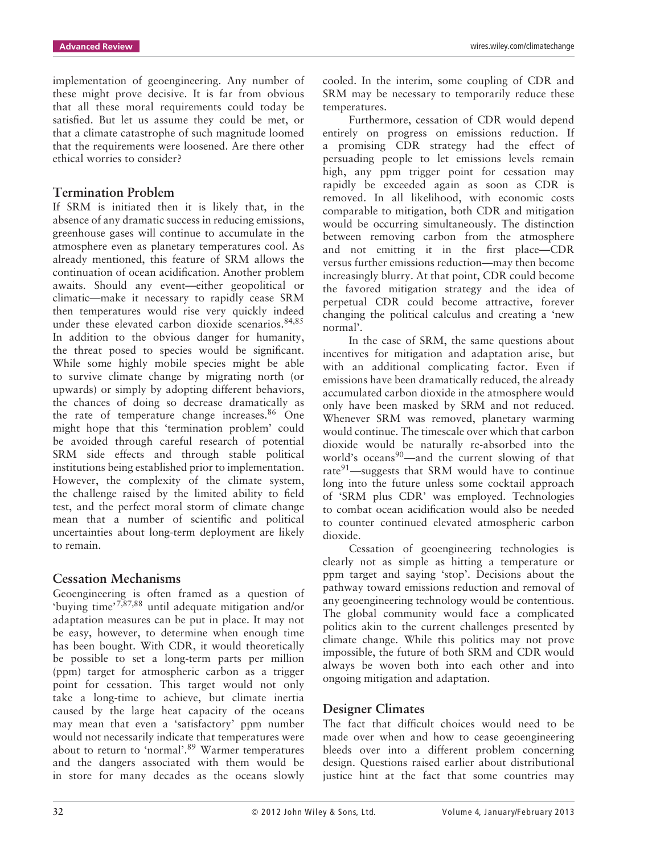implementation of geoengineering. Any number of these might prove decisive. It is far from obvious that all these moral requirements could today be satisfied. But let us assume they could be met, or that a climate catastrophe of such magnitude loomed that the requirements were loosened. Are there other ethical worries to consider?

#### **Termination Problem**

If SRM is initiated then it is likely that, in the absence of any dramatic success in reducing emissions, greenhouse gases will continue to accumulate in the atmosphere even as planetary temperatures cool. As already mentioned, this feature of SRM allows the continuation of ocean acidification. Another problem awaits. Should any event—either geopolitical or climatic—make it necessary to rapidly cease SRM then temperatures would rise very quickly indeed under these elevated carbon dioxide scenarios.<sup>84,85</sup> In addition to the obvious danger for humanity, the threat posed to species would be significant. While some highly mobile species might be able to survive climate change by migrating north (or upwards) or simply by adopting different behaviors, the chances of doing so decrease dramatically as the rate of temperature change increases.<sup>86</sup> One might hope that this 'termination problem' could be avoided through careful research of potential SRM side effects and through stable political institutions being established prior to implementation. However, the complexity of the climate system, the challenge raised by the limited ability to field test, and the perfect moral storm of climate change mean that a number of scientific and political uncertainties about long-term deployment are likely to remain.

#### **Cessation Mechanisms**

Geoengineering is often framed as a question of 'buying time'7,87,88 until adequate mitigation and/or adaptation measures can be put in place. It may not be easy, however, to determine when enough time has been bought. With CDR, it would theoretically be possible to set a long-term parts per million (ppm) target for atmospheric carbon as a trigger point for cessation. This target would not only take a long-time to achieve, but climate inertia caused by the large heat capacity of the oceans may mean that even a 'satisfactory' ppm number would not necessarily indicate that temperatures were about to return to 'normal'.89 Warmer temperatures and the dangers associated with them would be in store for many decades as the oceans slowly

cooled. In the interim, some coupling of CDR and SRM may be necessary to temporarily reduce these temperatures.

Furthermore, cessation of CDR would depend entirely on progress on emissions reduction. If a promising CDR strategy had the effect of persuading people to let emissions levels remain high, any ppm trigger point for cessation may rapidly be exceeded again as soon as CDR is removed. In all likelihood, with economic costs comparable to mitigation, both CDR and mitigation would be occurring simultaneously. The distinction between removing carbon from the atmosphere and not emitting it in the first place—CDR versus further emissions reduction—may then become increasingly blurry. At that point, CDR could become the favored mitigation strategy and the idea of perpetual CDR could become attractive, forever changing the political calculus and creating a 'new normal'.

In the case of SRM, the same questions about incentives for mitigation and adaptation arise, but with an additional complicating factor. Even if emissions have been dramatically reduced, the already accumulated carbon dioxide in the atmosphere would only have been masked by SRM and not reduced. Whenever SRM was removed, planetary warming would continue. The timescale over which that carbon dioxide would be naturally re-absorbed into the world's oceans<sup>90</sup>—and the current slowing of that rate $91$ —suggests that SRM would have to continue long into the future unless some cocktail approach of 'SRM plus CDR' was employed. Technologies to combat ocean acidification would also be needed to counter continued elevated atmospheric carbon dioxide.

Cessation of geoengineering technologies is clearly not as simple as hitting a temperature or ppm target and saying 'stop'. Decisions about the pathway toward emissions reduction and removal of any geoengineering technology would be contentious. The global community would face a complicated politics akin to the current challenges presented by climate change. While this politics may not prove impossible, the future of both SRM and CDR would always be woven both into each other and into ongoing mitigation and adaptation.

#### **Designer Climates**

The fact that difficult choices would need to be made over when and how to cease geoengineering bleeds over into a different problem concerning design. Questions raised earlier about distributional justice hint at the fact that some countries may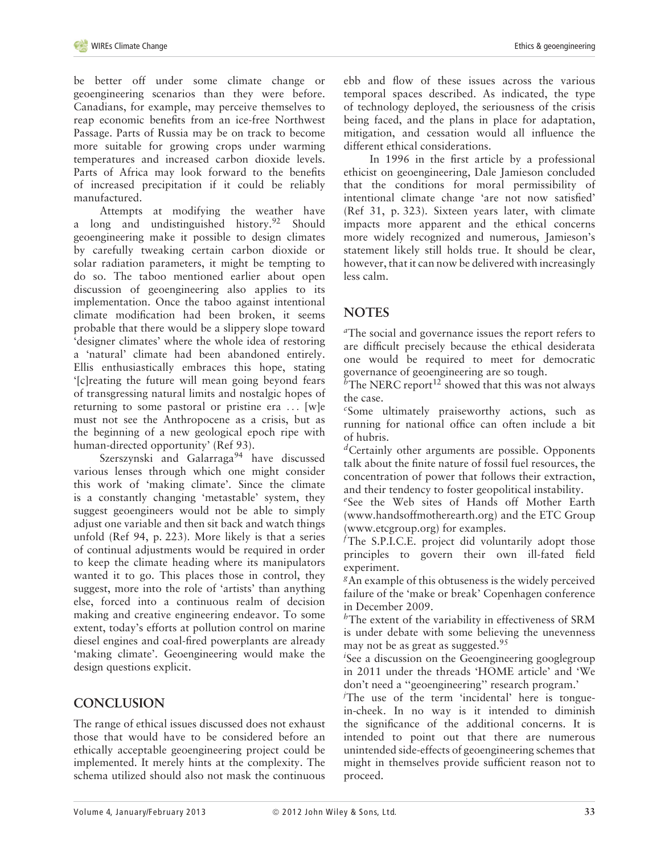be better off under some climate change or geoengineering scenarios than they were before. Canadians, for example, may perceive themselves to reap economic benefits from an ice-free Northwest Passage. Parts of Russia may be on track to become more suitable for growing crops under warming temperatures and increased carbon dioxide levels. Parts of Africa may look forward to the benefits of increased precipitation if it could be reliably manufactured.

Attempts at modifying the weather have a long and undistinguished history.<sup>92</sup> Should geoengineering make it possible to design climates by carefully tweaking certain carbon dioxide or solar radiation parameters, it might be tempting to do so. The taboo mentioned earlier about open discussion of geoengineering also applies to its implementation. Once the taboo against intentional climate modification had been broken, it seems probable that there would be a slippery slope toward 'designer climates' where the whole idea of restoring a 'natural' climate had been abandoned entirely. Ellis enthusiastically embraces this hope, stating '[c]reating the future will mean going beyond fears of transgressing natural limits and nostalgic hopes of returning to some pastoral or pristine era *...* [w]e must not see the Anthropocene as a crisis, but as the beginning of a new geological epoch ripe with human-directed opportunity' (Ref 93).

Szerszynski and Galarraga<sup>94</sup> have discussed various lenses through which one might consider this work of 'making climate'. Since the climate is a constantly changing 'metastable' system, they suggest geoengineers would not be able to simply adjust one variable and then sit back and watch things unfold (Ref 94, p. 223). More likely is that a series of continual adjustments would be required in order to keep the climate heading where its manipulators wanted it to go. This places those in control, they suggest, more into the role of 'artists' than anything else, forced into a continuous realm of decision making and creative engineering endeavor. To some extent, today's efforts at pollution control on marine diesel engines and coal-fired powerplants are already 'making climate'. Geoengineering would make the design questions explicit.

# **CONCLUSION**

The range of ethical issues discussed does not exhaust those that would have to be considered before an ethically acceptable geoengineering project could be implemented. It merely hints at the complexity. The schema utilized should also not mask the continuous ebb and flow of these issues across the various temporal spaces described. As indicated, the type of technology deployed, the seriousness of the crisis being faced, and the plans in place for adaptation, mitigation, and cessation would all influence the different ethical considerations.

In 1996 in the first article by a professional ethicist on geoengineering, Dale Jamieson concluded that the conditions for moral permissibility of intentional climate change 'are not now satisfied' (Ref 31, p. 323). Sixteen years later, with climate impacts more apparent and the ethical concerns more widely recognized and numerous, Jamieson's statement likely still holds true. It should be clear, however, that it can now be delivered with increasingly less calm.

# **NOTES**

*<sup>a</sup>*The social and governance issues the report refers to are difficult precisely because the ethical desiderata one would be required to meet for democratic governance of geoengineering are so tough.

 $b$ The NERC report<sup>12</sup> showed that this was not always the case.

*<sup>c</sup>*Some ultimately praiseworthy actions, such as running for national office can often include a bit of hubris.

*<sup>d</sup>*Certainly other arguments are possible. Opponents talk about the finite nature of fossil fuel resources, the concentration of power that follows their extraction, and their tendency to foster geopolitical instability.

*<sup>e</sup>*See the Web sites of Hands off Mother Earth (www.handsoffmotherearth.org) and the ETC Group (www.etcgroup.org) for examples.

*<sup>f</sup>*The S.P.I.C.E. project did voluntarily adopt those principles to govern their own ill-fated field experiment.

*<sup>g</sup>*An example of this obtuseness is the widely perceived failure of the 'make or break' Copenhagen conference in December 2009.

*<sup>h</sup>*The extent of the variability in effectiveness of SRM is under debate with some believing the unevenness may not be as great as suggested.<sup>95</sup>

*i* See a discussion on the Geoengineering googlegroup in 2011 under the threads 'HOME article' and 'We don't need a ''geoengineering'' research program.'

*j* The use of the term 'incidental' here is tonguein-cheek. In no way is it intended to diminish the significance of the additional concerns. It is intended to point out that there are numerous unintended side-effects of geoengineering schemes that might in themselves provide sufficient reason not to proceed.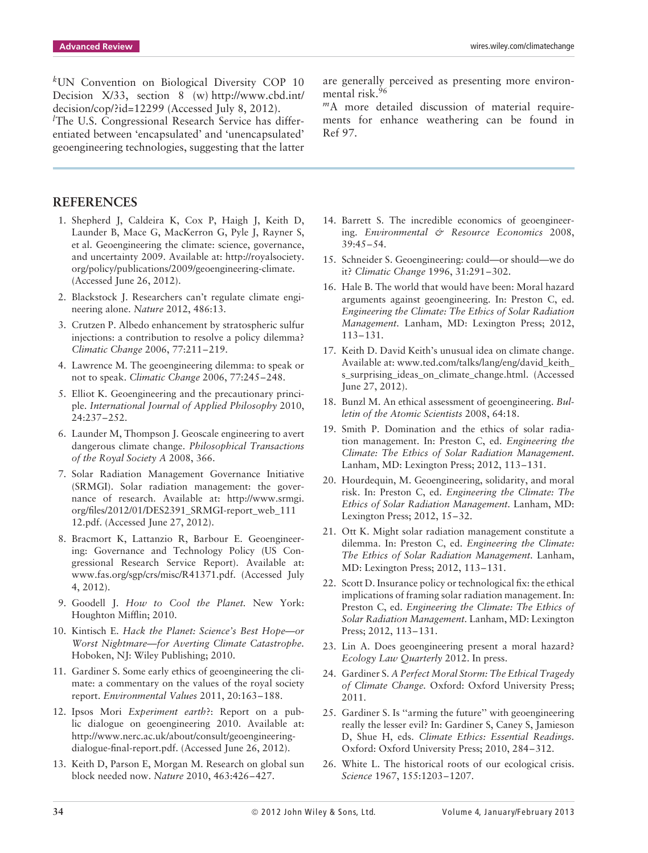*<sup>k</sup>*UN Convention on Biological Diversity COP 10 Decision X/33, section 8 (w) http://www.cbd.int/ decision/cop/?id=12299 (Accessed July 8, 2012).

*l* The U.S. Congressional Research Service has differentiated between 'encapsulated' and 'unencapsulated' geoengineering technologies, suggesting that the latter

#### **REFERENCES**

- 1. Shepherd J, Caldeira K, Cox P, Haigh J, Keith D, Launder B, Mace G, MacKerron G, Pyle J, Rayner S, et al. Geoengineering the climate: science, governance, and uncertainty 2009. Available at: http://royalsociety. org/policy/publications/2009/geoengineering-climate. (Accessed June 26, 2012).
- 2. Blackstock J. Researchers can't regulate climate engineering alone. *Nature* 2012, 486:13.
- 3. Crutzen P. Albedo enhancement by stratospheric sulfur injections: a contribution to resolve a policy dilemma? *Climatic Change* 2006, 77:211–219.
- 4. Lawrence M. The geoengineering dilemma: to speak or not to speak. *Climatic Change* 2006, 77:245–248.
- 5. Elliot K. Geoengineering and the precautionary principle. *International Journal of Applied Philosophy* 2010, 24:237–252.
- 6. Launder M, Thompson J. Geoscale engineering to avert dangerous climate change. *Philosophical Transactions of the Royal Society A* 2008, 366.
- 7. Solar Radiation Management Governance Initiative (SRMGI). Solar radiation management: the governance of research. Available at: http://www.srmgi. org/files/2012/01/DES2391\_SRMGI-report\_web\_111 12.pdf. (Accessed June 27, 2012).
- 8. Bracmort K, Lattanzio R, Barbour E. Geoengineering: Governance and Technology Policy (US Congressional Research Service Report). Available at: www.fas.org/sgp/crs/misc/R41371.pdf. (Accessed July 4, 2012).
- 9. Goodell J. *How to Cool the Planet.* New York: Houghton Mifflin; 2010.
- 10. Kintisch E. *Hack the Planet: Science's Best Hope—or Worst Nightmare—for Averting Climate Catastrophe.* Hoboken, NJ: Wiley Publishing; 2010.
- 11. Gardiner S. Some early ethics of geoengineering the climate: a commentary on the values of the royal society report. *Environmental Values* 2011, 20:163–188.
- 12. Ipsos Mori *Experiment earth*?: Report on a public dialogue on geoengineering 2010. Available at: http://www.nerc.ac.uk/about/consult/geoengineeringdialogue-final-report.pdf. (Accessed June 26, 2012).
- 13. Keith D, Parson E, Morgan M. Research on global sun block needed now. *Nature* 2010, 463:426–427.

are generally perceived as presenting more environmental risk.96

*<sup>m</sup>*A more detailed discussion of material requirements for enhance weathering can be found in Ref 97.

- 14. Barrett S. The incredible economics of geoengineering. *Environmental & Resource Economics* 2008, 39:45–54.
- 15. Schneider S. Geoengineering: could—or should—we do it? *Climatic Change* 1996, 31:291–302.
- 16. Hale B. The world that would have been: Moral hazard arguments against geoengineering. In: Preston C, ed. *Engineering the Climate: The Ethics of Solar Radiation Management.* Lanham, MD: Lexington Press; 2012, 113–131.
- 17. Keith D. David Keith's unusual idea on climate change. Available at: www.ted.com/talks/lang/eng/david\_keith\_ s\_surprising\_ideas\_on\_climate\_change.html. (Accessed June 27, 2012).
- 18. Bunzl M. An ethical assessment of geoengineering. *Bulletin of the Atomic Scientists* 2008, 64:18.
- 19. Smith P. Domination and the ethics of solar radiation management. In: Preston C, ed. *Engineering the Climate: The Ethics of Solar Radiation Management.* Lanham, MD: Lexington Press; 2012, 113–131.
- 20. Hourdequin, M. Geoengineering, solidarity, and moral risk. In: Preston C, ed. *Engineering the Climate: The Ethics of Solar Radiation Management.* Lanham, MD: Lexington Press; 2012, 15–32.
- 21. Ott K. Might solar radiation management constitute a dilemma. In: Preston C, ed. *Engineering the Climate: The Ethics of Solar Radiation Management.* Lanham, MD: Lexington Press; 2012, 113–131.
- 22. Scott D. Insurance policy or technological fix: the ethical implications of framing solar radiation management. In: Preston C, ed. *Engineering the Climate: The Ethics of Solar Radiation Management.* Lanham, MD: Lexington Press; 2012, 113–131.
- 23. Lin A. Does geoengineering present a moral hazard? *Ecology Law Quarterly* 2012. In press.
- 24. Gardiner S. *A Perfect Moral Storm: The Ethical Tragedy of Climate Change.* Oxford: Oxford University Press; 2011.
- 25. Gardiner S. Is ''arming the future'' with geoengineering really the lesser evil? In: Gardiner S, Caney S, Jamieson D, Shue H, eds. *Climate Ethics: Essential Readings.* Oxford: Oxford University Press; 2010, 284–312.
- 26. White L. The historical roots of our ecological crisis. *Science* 1967, 155:1203–1207.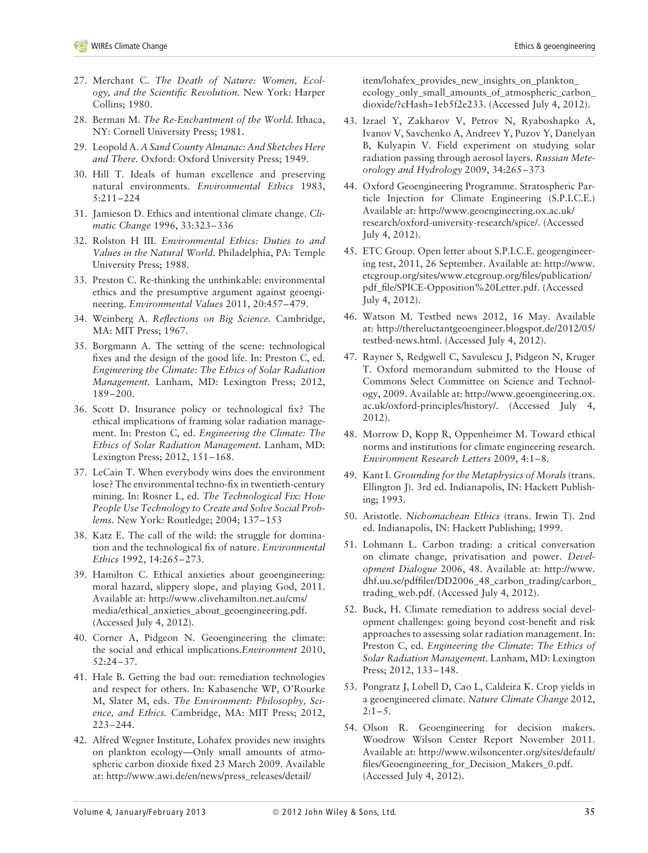- 27. Merchant C. *The Death of Nature: Women, Ecology, and the Scientific Revolution.* New York: Harper Collins; 1980.
- 28. Berman M. *The Re-Enchantment of the World.* Ithaca, NY: Cornell University Press; 1981.
- 29. Leopold A. *A Sand County Almanac: And Sketches Here and There.* Oxford: Oxford University Press; 1949.
- 30. Hill T. Ideals of human excellence and preserving natural environments. *Environmental Ethics* 1983, 5:211–224
- 31. Jamieson D. Ethics and intentional climate change. *Climatic Change* 1996, 33:323–336
- 32. Rolston H III. *Environmental Ethics: Duties to and Values in the Natural World.* Philadelphia, PA: Temple University Press; 1988.
- 33. Preston C. Re-thinking the unthinkable: environmental ethics and the presumptive argument against geoengineering. *Environmental Values* 2011, 20:457–479.
- 34. Weinberg A. *Reflections on Big Science.* Cambridge, MA: MIT Press; 1967.
- 35. Borgmann A. The setting of the scene: technological fixes and the design of the good life. In: Preston C, ed. *Engineering the Climate: The Ethics of Solar Radiation Management.* Lanham, MD: Lexington Press; 2012, 189–200.
- 36. Scott D. Insurance policy or technological fix? The ethical implications of framing solar radiation management. In: Preston C, ed. *Engineering the Climate: The Ethics of Solar Radiation Management.* Lanham, MD: Lexington Press; 2012, 151–168.
- 37. LeCain T. When everybody wins does the environment lose? The environmental techno-fix in twentieth-century mining. In: Rosner L, ed. *The Technological Fix: How People Use Technology to Create and Solve Social Problems.* New York: Routledge; 2004; 137–153
- 38. Katz E. The call of the wild: the struggle for domination and the technological fix of nature. *Environmental Ethics* 1992, 14:265–273.
- 39. Hamilton C. Ethical anxieties about geoengineering: moral hazard, slippery slope, and playing God, 2011. Available at: http://www.clivehamilton.net.au/cms/ media/ethical\_anxieties\_about\_geoengineering.pdf. (Accessed July 4, 2012).
- 40. Corner A, Pidgeon N. Geoengineering the climate: the social and ethical implications.*Environment* 2010, 52:24–37.
- 41. Hale B. Getting the bad out: remediation technologies and respect for others. In: Kabasenche WP, O'Rourke M, Slater M, eds. *The Environment: Philosophy, Science, and Ethics.* Cambridge, MA: MIT Press; 2012, 223–244.
- 42. Alfred Wegner Institute, Lohafex provides new insights on plankton ecology—Only small amounts of atmospheric carbon dioxide fixed 23 March 2009. Available at: http://www.awi.de/en/news/press\_releases/detail/

item/lohafex\_provides\_new\_insights\_on\_plankton\_ ecology\_only\_small\_amounts\_of\_atmospheric\_carbon\_ dioxide/?cHash=1eb5f2e233. (Accessed July 4, 2012).

- 43. Izrael Y, Zakharov V, Petrov N, Ryaboshapko A, Ivanov V, Savchenko A, Andreev Y, Puzov Y, Danelyan B, Kulyapin V. Field experiment on studying solar radiation passing through aerosol layers. *Russian Meteorology and Hydrology* 2009, 34:265–373
- 44. Oxford Geoengineering Programme. Stratospheric Particle Injection for Climate Engineering (S.P.I.C.E.) Available at: http://www.geoengineering.ox.ac.uk/ research/oxford-university-research/spice/. (Accessed July 4, 2012).
- 45. ETC Group. Open letter about S.P.I.C.E. geogengineering test, 2011, 26 September. Available at: http://www. etcgroup.org/sites/www.etcgroup.org/files/publication/ pdf\_file/SPICE-Opposition%20Letter.pdf. (Accessed July 4, 2012).
- 46. Watson M. Testbed news 2012, 16 May. Available at: http://thereluctantgeoengineer.blogspot.de/2012/05/ testbed-news.html. (Accessed July 4, 2012).
- 47. Rayner S, Redgwell C, Savulescu J, Pidgeon N, Kruger T. Oxford memorandum submitted to the House of Commons Select Committee on Science and Technology, 2009. Available at: http://www.geoengineering.ox. ac.uk/oxford-principles/history/. (Accessed July 4, 2012).
- 48. Morrow D, Kopp R, Oppenheimer M. Toward ethical norms and institutions for climate engineering research. *Environment Research Letters* 2009, 4:1–8.
- 49. Kant I. *Grounding for the Metaphysics of Morals* (trans. Ellington J). 3rd ed. Indianapolis, IN: Hackett Publishing; 1993.
- 50. Aristotle. *Nichomachean Ethics* (trans. Irwin T). 2nd ed. Indianapolis, IN: Hackett Publishing; 1999.
- 51. Lohmann L. Carbon trading: a critical conversation on climate change, privatisation and power. *Development Dialogue* 2006, 48. Available at: http://www. dhf.uu.se/pdffiler/DD2006\_48\_carbon\_trading/carbon\_ trading\_web.pdf. (Accessed July 4, 2012).
- 52. Buck, H. Climate remediation to address social development challenges: going beyond cost-benefit and risk approaches to assessing solar radiation management. In: Preston C, ed. *Engineering the Climate: The Ethics of Solar Radiation Management.* Lanham, MD: Lexington Press; 2012, 133–148.
- 53. Pongratz J, Lobell D, Cao L, Caldeira K. Crop yields in a geoengineered climate. *Nature Climate Change* 2012,  $2:1-5.$
- 54. Olson R. Geoengineering for decision makers. Woodrow Wilson Center Report November 2011. Available at: http://www.wilsoncenter.org/sites/default/ files/Geoengineering\_for\_Decision\_Makers\_0.pdf. (Accessed July 4, 2012).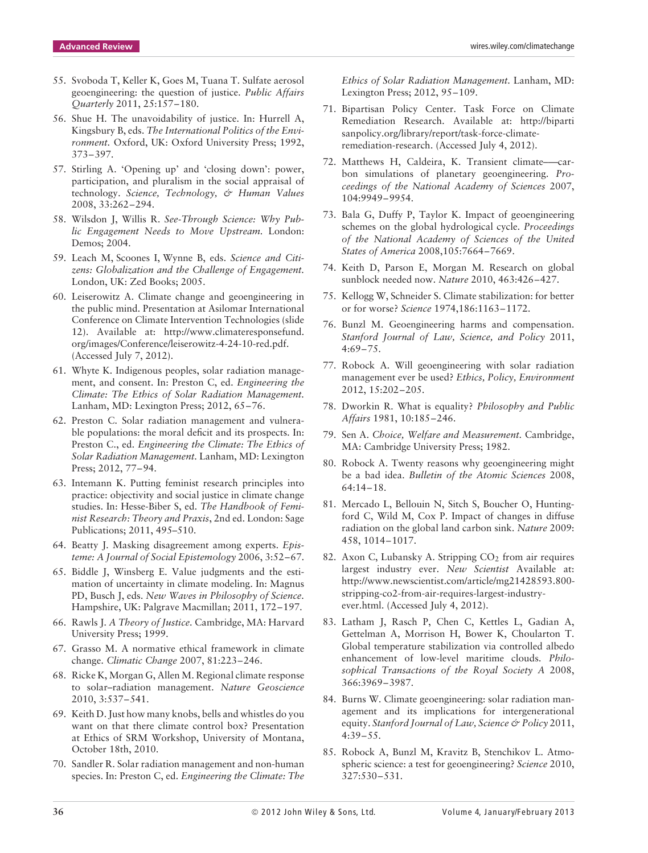- 55. Svoboda T, Keller K, Goes M, Tuana T. Sulfate aerosol geoengineering: the question of justice. *Public Affairs Quarterly* 2011, 25:157–180.
- 56. Shue H. The unavoidability of justice. In: Hurrell A, Kingsbury B, eds. *The International Politics of the Environment.* Oxford, UK: Oxford University Press; 1992, 373–397.
- 57. Stirling A. 'Opening up' and 'closing down': power, participation, and pluralism in the social appraisal of technology. *Science, Technology, & Human Values* 2008, 33:262–294.
- 58. Wilsdon J, Willis R. *See-Through Science: Why Public Engagement Needs to Move Upstream.* London: Demos; 2004.
- 59. Leach M, Scoones I, Wynne B, eds. *Science and Citizens: Globalization and the Challenge of Engagement.* London, UK: Zed Books; 2005.
- 60. Leiserowitz A. Climate change and geoengineering in the public mind. Presentation at Asilomar International Conference on Climate Intervention Technologies (slide 12). Available at: http://www.climateresponsefund. org/images/Conference/leiserowitz-4-24-10-red.pdf. (Accessed July 7, 2012).
- 61. Whyte K. Indigenous peoples, solar radiation management, and consent. In: Preston C, ed. *Engineering the Climate: The Ethics of Solar Radiation Management.* Lanham, MD: Lexington Press; 2012, 65–76.
- 62. Preston C. Solar radiation management and vulnerable populations: the moral deficit and its prospects. In: Preston C., ed. *Engineering the Climate: The Ethics of Solar Radiation Management.* Lanham, MD: Lexington Press; 2012, 77–94.
- 63. Intemann K. Putting feminist research principles into practice: objectivity and social justice in climate change studies. In: Hesse-Biber S, ed. *The Handbook of Feminist Research: Theory and Praxis*, 2nd ed. London: Sage Publications; 2011, 495–510.
- 64. Beatty J. Masking disagreement among experts. *Episteme: A Journal of Social Epistemology* 2006, 3:52–67.
- 65. Biddle J, Winsberg E. Value judgments and the estimation of uncertainty in climate modeling. In: Magnus PD, Busch J, eds. *New Waves in Philosophy of Science.* Hampshire, UK: Palgrave Macmillan; 2011, 172–197.
- 66. Rawls J. *A Theory of Justice.* Cambridge, MA: Harvard University Press; 1999.
- 67. Grasso M. A normative ethical framework in climate change. *Climatic Change* 2007, 81:223–246.
- 68. Ricke K, Morgan G, Allen M. Regional climate response to solar–radiation management. *Nature Geoscience* 2010, 3:537–541.
- 69. Keith D. Just how many knobs, bells and whistles do you want on that there climate control box? Presentation at Ethics of SRM Workshop, University of Montana, October 18th, 2010.
- 70. Sandler R. Solar radiation management and non-human species. In: Preston C, ed. *Engineering the Climate: The*

*Ethics of Solar Radiation Management.* Lanham, MD: Lexington Press; 2012, 95–109.

- 71. Bipartisan Policy Center. Task Force on Climate Remediation Research. Available at: http://biparti sanpolicy.org/library/report/task-force-climateremediation-research. (Accessed July 4, 2012).
- 72. Matthews H, Caldeira, K. Transient climate–—carbon simulations of planetary geoengineering. *Proceedings of the National Academy of Sciences* 2007, 104:9949–9954.
- 73. Bala G, Duffy P, Taylor K. Impact of geoengineering schemes on the global hydrological cycle. *Proceedings of the National Academy of Sciences of the United States of America* 2008,105:7664–7669.
- 74. Keith D, Parson E, Morgan M. Research on global sunblock needed now. *Nature* 2010, 463:426–427.
- 75. Kellogg W, Schneider S. Climate stabilization: for better or for worse? *Science* 1974,186:1163–1172.
- 76. Bunzl M. Geoengineering harms and compensation. *Stanford Journal of Law, Science, and Policy* 2011, 4:69–75.
- 77. Robock A. Will geoengineering with solar radiation management ever be used? *Ethics, Policy, Environment* 2012, 15:202–205.
- 78. Dworkin R. What is equality? *Philosophy and Public Affairs* 1981, 10:185–246.
- 79. Sen A. *Choice, Welfare and Measurement.* Cambridge, MA: Cambridge University Press; 1982.
- 80. Robock A. Twenty reasons why geoengineering might be a bad idea. *Bulletin of the Atomic Sciences* 2008, 64:14–18.
- 81. Mercado L, Bellouin N, Sitch S, Boucher O, Huntingford C, Wild M, Cox P. Impact of changes in diffuse radiation on the global land carbon sink. *Nature* 2009: 458, 1014–1017.
- 82. Axon C, Lubansky A. Stripping CO<sub>2</sub> from air requires largest industry ever. *New Scientist* Available at: http://www.newscientist.com/article/mg21428593.800 stripping-co2-from-air-requires-largest-industryever.html. (Accessed July 4, 2012).
- 83. Latham J, Rasch P, Chen C, Kettles L, Gadian A, Gettelman A, Morrison H, Bower K, Choularton T. Global temperature stabilization via controlled albedo enhancement of low-level maritime clouds. *Philosophical Transactions of the Royal Society A* 2008, 366:3969–3987.
- 84. Burns W. Climate geoengineering: solar radiation management and its implications for intergenerational equity. *Stanford Journal of Law, Science & Policy* 2011, 4:39–55.
- 85. Robock A, Bunzl M, Kravitz B, Stenchikov L. Atmospheric science: a test for geoengineering? *Science* 2010, 327:530–531.